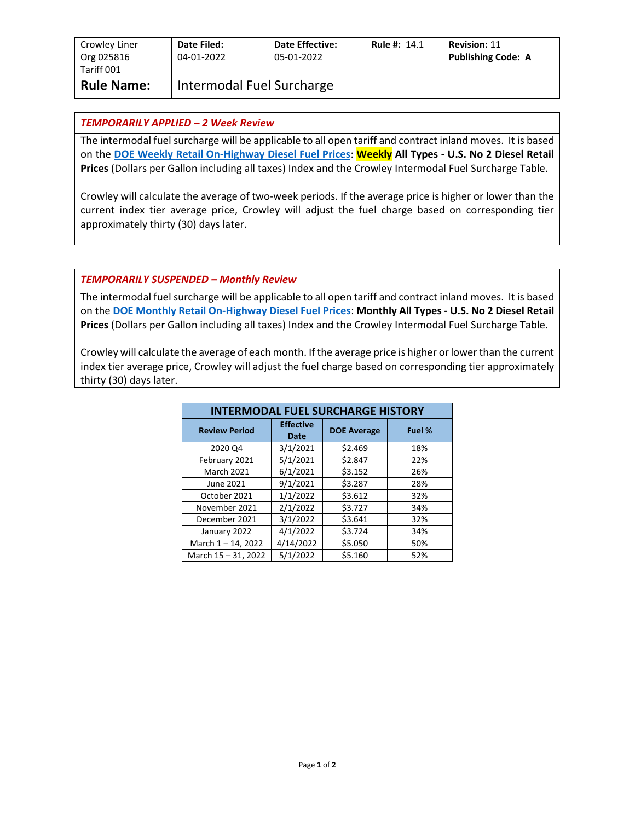| Crowley Liner<br>Org 025816<br>Tariff 001 | Date Filed:<br>04-01-2022 | <b>Date Effective:</b><br>05-01-2022 | <b>Rule #: 14.1</b> | <b>Revision: 11</b><br><b>Publishing Code: A</b> |
|-------------------------------------------|---------------------------|--------------------------------------|---------------------|--------------------------------------------------|
| <b>Rule Name:</b>                         | Intermodal Fuel Surcharge |                                      |                     |                                                  |

## *TEMPORARILY APPLIED – 2 Week Review*

The intermodal fuel surcharge will be applicable to all open tariff and contract inland moves. It is based on the **[DOE Weekly Retail On-Highway Diesel Fuel Prices](https://www.eia.gov/petroleum/gasdiesel/)**: **Weekly All Types - U.S. No 2 Diesel Retail Prices** (Dollars per Gallon including all taxes) Index and the Crowley Intermodal Fuel Surcharge Table.

Crowley will calculate the average of two-week periods. If the average price is higher or lower than the current index tier average price, Crowley will adjust the fuel charge based on corresponding tier approximately thirty (30) days later.

## *TEMPORARILY SUSPENDED – Monthly Review*

The intermodal fuel surcharge will be applicable to all open tariff and contract inland moves. It is based on the **[DOE Monthly Retail On-Highway Diesel Fuel Prices](https://www.eia.gov/petroleum/gasdiesel/)**: **Monthly All Types - U.S. No 2 Diesel Retail Prices** (Dollars per Gallon including all taxes) Index and the Crowley Intermodal Fuel Surcharge Table.

Crowley will calculate the average of each month. If the average price is higher or lower than the current index tier average price, Crowley will adjust the fuel charge based on corresponding tier approximately thirty (30) days later.

| <b>INTERMODAL FUEL SURCHARGE HISTORY</b> |                          |                    |        |  |  |
|------------------------------------------|--------------------------|--------------------|--------|--|--|
| <b>Review Period</b>                     | <b>Effective</b><br>Date | <b>DOE Average</b> | Fuel % |  |  |
| 2020 Q4                                  | 3/1/2021                 | \$2.469            | 18%    |  |  |
| February 2021                            | 5/1/2021                 | \$2.847            | 22%    |  |  |
| <b>March 2021</b>                        | 6/1/2021                 | \$3.152            | 26%    |  |  |
| June 2021                                | 9/1/2021                 | \$3.287            | 28%    |  |  |
| October 2021                             | 1/1/2022                 | \$3.612            | 32%    |  |  |
| November 2021                            | 2/1/2022                 | \$3.727            | 34%    |  |  |
| December 2021                            | 3/1/2022                 | \$3.641            | 32%    |  |  |
| January 2022                             | 4/1/2022                 | \$3.724            | 34%    |  |  |
| March 1-14, 2022                         | 4/14/2022                | \$5.050            | 50%    |  |  |
| March 15 - 31, 2022                      | 5/1/2022                 | \$5.160            | 52%    |  |  |